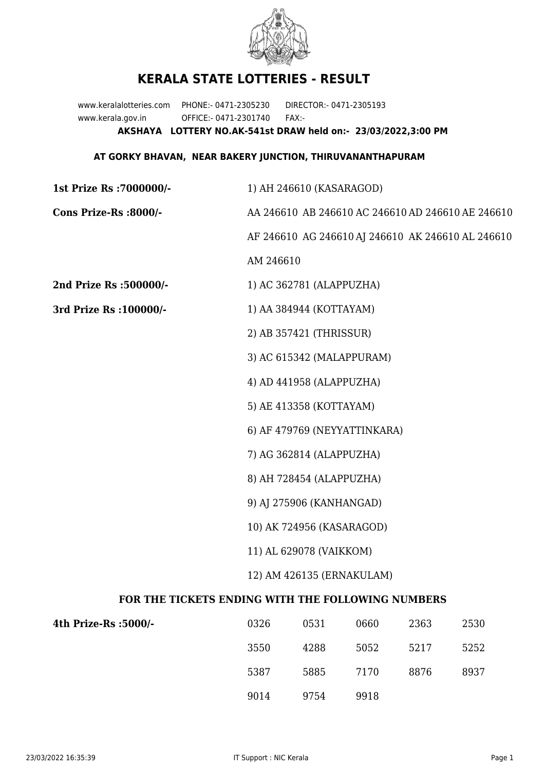

## **KERALA STATE LOTTERIES - RESULT**

www.keralalotteries.com PHONE:- 0471-2305230 DIRECTOR:- 0471-2305193 www.kerala.gov.in OFFICE:- 0471-2301740 FAX:- **AKSHAYA LOTTERY NO.AK-541st DRAW held on:- 23/03/2022,3:00 PM**

## **AT GORKY BHAVAN, NEAR BAKERY JUNCTION, THIRUVANANTHAPURAM**

| 1st Prize Rs: 7000000/-                           | 1) AH 246610 (KASARAGOD)                          |                              |      |      |                                                   |  |
|---------------------------------------------------|---------------------------------------------------|------------------------------|------|------|---------------------------------------------------|--|
| Cons Prize-Rs :8000/-                             | AA 246610 AB 246610 AC 246610 AD 246610 AE 246610 |                              |      |      |                                                   |  |
|                                                   |                                                   |                              |      |      | AF 246610 AG 246610 AJ 246610 AK 246610 AL 246610 |  |
|                                                   | AM 246610                                         |                              |      |      |                                                   |  |
| 2nd Prize Rs :500000/-                            |                                                   | 1) AC 362781 (ALAPPUZHA)     |      |      |                                                   |  |
| 3rd Prize Rs : 100000/-                           | 1) AA 384944 (KOTTAYAM)                           |                              |      |      |                                                   |  |
|                                                   |                                                   | 2) AB 357421 (THRISSUR)      |      |      |                                                   |  |
|                                                   |                                                   | 3) AC 615342 (MALAPPURAM)    |      |      |                                                   |  |
|                                                   | 4) AD 441958 (ALAPPUZHA)                          |                              |      |      |                                                   |  |
|                                                   |                                                   | 5) AE 413358 (KOTTAYAM)      |      |      |                                                   |  |
|                                                   |                                                   | 6) AF 479769 (NEYYATTINKARA) |      |      |                                                   |  |
|                                                   | 7) AG 362814 (ALAPPUZHA)                          |                              |      |      |                                                   |  |
|                                                   | 8) AH 728454 (ALAPPUZHA)                          |                              |      |      |                                                   |  |
|                                                   | 9) AJ 275906 (KANHANGAD)                          |                              |      |      |                                                   |  |
|                                                   | 10) AK 724956 (KASARAGOD)                         |                              |      |      |                                                   |  |
|                                                   | 11) AL 629078 (VAIKKOM)                           |                              |      |      |                                                   |  |
|                                                   | 12) AM 426135 (ERNAKULAM)                         |                              |      |      |                                                   |  |
| FOR THE TICKETS ENDING WITH THE FOLLOWING NUMBERS |                                                   |                              |      |      |                                                   |  |
| 4th Prize-Rs : 5000/-                             | 0326                                              | 0531                         | 0660 | 2363 | 2530                                              |  |

| 3550 | 4288 | 5052 | 5217 | 5252 |
|------|------|------|------|------|
| 5387 | 5885 | 7170 | 8876 | 8937 |
| 9014 | 9754 | 9918 |      |      |
|      |      |      |      |      |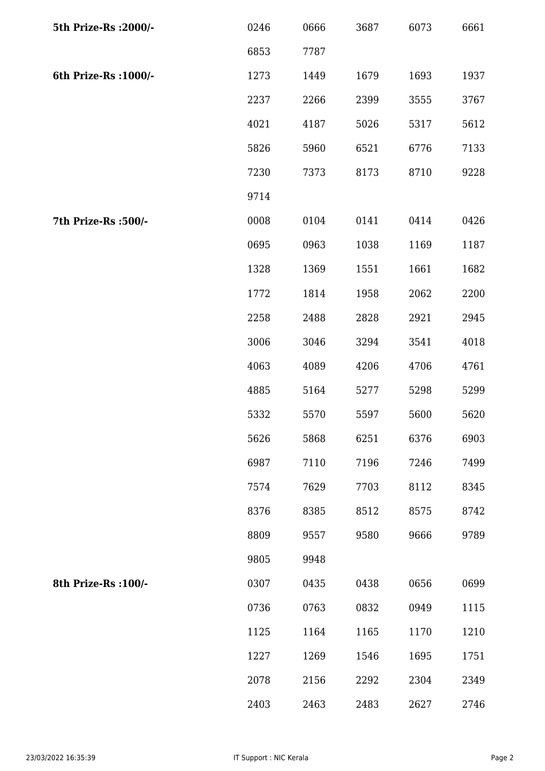| 5th Prize-Rs : 2000/- | 0246 | 0666 | 3687 | 6073 | 6661 |
|-----------------------|------|------|------|------|------|
|                       | 6853 | 7787 |      |      |      |
| 6th Prize-Rs : 1000/- | 1273 | 1449 | 1679 | 1693 | 1937 |
|                       | 2237 | 2266 | 2399 | 3555 | 3767 |
|                       | 4021 | 4187 | 5026 | 5317 | 5612 |
|                       | 5826 | 5960 | 6521 | 6776 | 7133 |
|                       | 7230 | 7373 | 8173 | 8710 | 9228 |
|                       | 9714 |      |      |      |      |
| 7th Prize-Rs :500/-   | 0008 | 0104 | 0141 | 0414 | 0426 |
|                       | 0695 | 0963 | 1038 | 1169 | 1187 |
|                       | 1328 | 1369 | 1551 | 1661 | 1682 |
|                       | 1772 | 1814 | 1958 | 2062 | 2200 |
|                       | 2258 | 2488 | 2828 | 2921 | 2945 |
|                       | 3006 | 3046 | 3294 | 3541 | 4018 |
|                       | 4063 | 4089 | 4206 | 4706 | 4761 |
|                       | 4885 | 5164 | 5277 | 5298 | 5299 |
|                       | 5332 | 5570 | 5597 | 5600 | 5620 |
|                       | 5626 | 5868 | 6251 | 6376 | 6903 |
|                       | 6987 | 7110 | 7196 | 7246 | 7499 |
|                       | 7574 | 7629 | 7703 | 8112 | 8345 |
|                       | 8376 | 8385 | 8512 | 8575 | 8742 |
|                       | 8809 | 9557 | 9580 | 9666 | 9789 |
|                       | 9805 | 9948 |      |      |      |
| 8th Prize-Rs : 100/-  | 0307 | 0435 | 0438 | 0656 | 0699 |
|                       | 0736 | 0763 | 0832 | 0949 | 1115 |
|                       | 1125 | 1164 | 1165 | 1170 | 1210 |
|                       | 1227 | 1269 | 1546 | 1695 | 1751 |
|                       | 2078 | 2156 | 2292 | 2304 | 2349 |
|                       | 2403 | 2463 | 2483 | 2627 | 2746 |